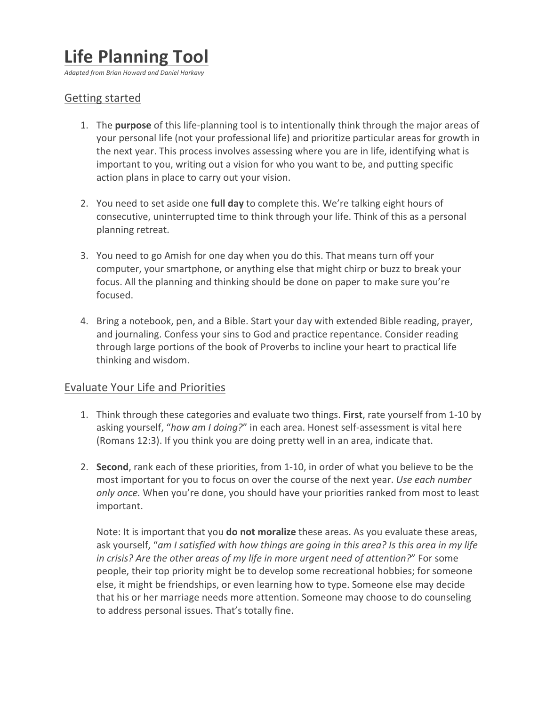# **Life Planning Tool**

*Adapted from Brian Howard and Daniel Harkavy*

## Getting started

- 1. The **purpose** of this life-planning tool is to intentionally think through the major areas of your personal life (not your professional life) and prioritize particular areas for growth in the next year. This process involves assessing where you are in life, identifying what is important to you, writing out a vision for who you want to be, and putting specific action plans in place to carry out your vision.
- 2. You need to set aside one full day to complete this. We're talking eight hours of consecutive, uninterrupted time to think through your life. Think of this as a personal planning retreat.
- 3. You need to go Amish for one day when you do this. That means turn off your computer, your smartphone, or anything else that might chirp or buzz to break your focus. All the planning and thinking should be done on paper to make sure you're focused.
- 4. Bring a notebook, pen, and a Bible. Start your day with extended Bible reading, prayer, and journaling. Confess your sins to God and practice repentance. Consider reading through large portions of the book of Proverbs to incline your heart to practical life thinking and wisdom.

#### Evaluate Your Life and Priorities

- 1. Think through these categories and evaluate two things. First, rate yourself from 1-10 by asking yourself, "how am I doing?" in each area. Honest self-assessment is vital here (Romans 12:3). If you think you are doing pretty well in an area, indicate that.
- 2. **Second**, rank each of these priorities, from 1-10, in order of what you believe to be the most important for you to focus on over the course of the next year. *Use each number only once.* When you're done, you should have your priorities ranked from most to least important.

Note: It is important that you **do not moralize** these areas. As you evaluate these areas, ask yourself, "am I satisfied with how things are going in this area? Is this area in my life *in crisis?* Are the other areas of my life in more urgent need of attention?" For some people, their top priority might be to develop some recreational hobbies; for someone else, it might be friendships, or even learning how to type. Someone else may decide that his or her marriage needs more attention. Someone may choose to do counseling to address personal issues. That's totally fine.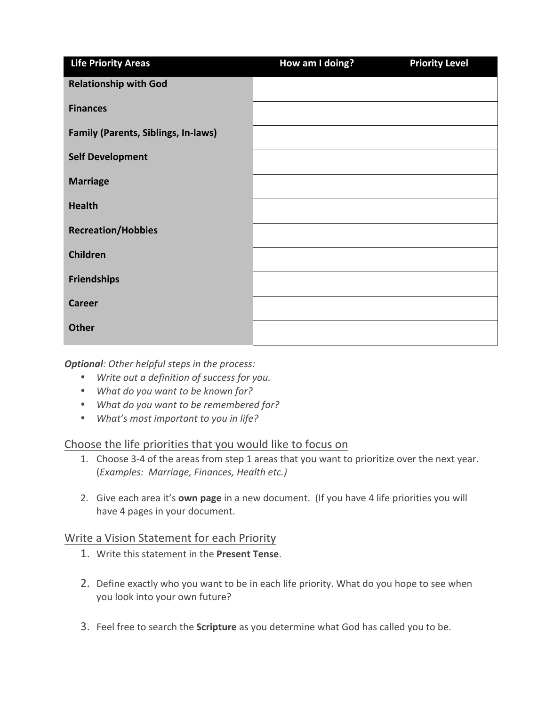| <b>Life Priority Areas</b>                 | How am I doing? | <b>Priority Level</b> |
|--------------------------------------------|-----------------|-----------------------|
| <b>Relationship with God</b>               |                 |                       |
| <b>Finances</b>                            |                 |                       |
| <b>Family (Parents, Siblings, In-laws)</b> |                 |                       |
| <b>Self Development</b>                    |                 |                       |
| <b>Marriage</b>                            |                 |                       |
| <b>Health</b>                              |                 |                       |
| <b>Recreation/Hobbies</b>                  |                 |                       |
| Children                                   |                 |                       |
| <b>Friendships</b>                         |                 |                       |
| <b>Career</b>                              |                 |                       |
| <b>Other</b>                               |                 |                       |

**Optional**: Other helpful steps in the process:

- Write out a definition of success for you.
- What do you want to be known for?
- What do you want to be remembered for?
- What's most important to you in life?

Choose the life priorities that you would like to focus on

- 1. Choose 3-4 of the areas from step 1 areas that you want to prioritize over the next year. (*Examples: Marriage, Finances, Health etc.)*
- 2. Give each area it's **own page** in a new document. (If you have 4 life priorities you will have 4 pages in your document.

### Write a Vision Statement for each Priority

- 1. Write this statement in the Present Tense.
- 2. Define exactly who you want to be in each life priority. What do you hope to see when you look into your own future?
- 3. Feel free to search the **Scripture** as you determine what God has called you to be.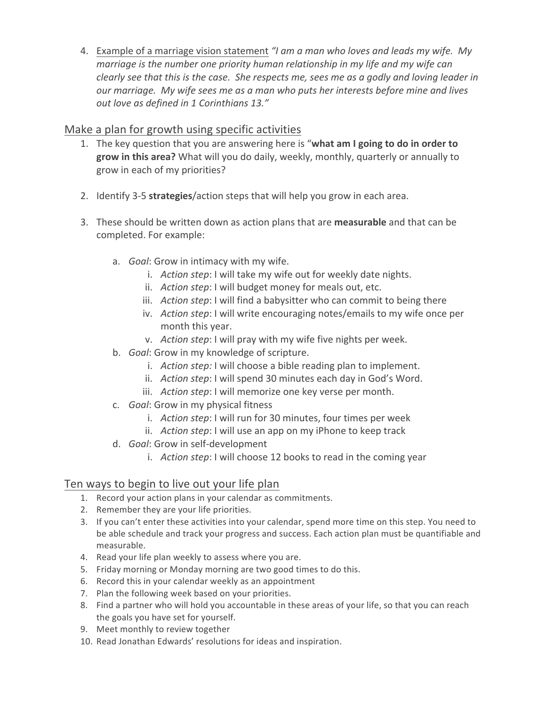4. Example of a marriage vision statement *"I am a man who loves and leads my wife. My marriage is the number one priority human relationship in my life and my wife can clearly see that this is the case.* She respects me, sees me as a godly and loving leader in *our* marriage. My wife sees me as a man who puts her interests before mine and lives *out love as defined in 1 Corinthians 13."*

## Make a plan for growth using specific activities

- 1. The key question that you are answering here is "what am I going to do in order to grow in this area? What will you do daily, weekly, monthly, quarterly or annually to grow in each of my priorities?
- 2. Identify 3-5 strategies/action steps that will help you grow in each area.
- 3. These should be written down as action plans that are **measurable** and that can be completed. For example:
	- a. *Goal*: Grow in intimacy with my wife.
		- i. *Action step*: I will take my wife out for weekly date nights.
		- ii. *Action step*: I will budget money for meals out, etc.
		- iii. *Action step*: I will find a babysitter who can commit to being there
		- iv. *Action step*: I will write encouraging notes/emails to my wife once per month this year.
		- v. *Action step*: I will pray with my wife five nights per week.
	- b. *Goal*: Grow in my knowledge of scripture.
		- i. *Action step:* I will choose a bible reading plan to implement.
		- ii. *Action step*: I will spend 30 minutes each day in God's Word.
		- iii. *Action step*: I will memorize one key verse per month.
	- c. *Goal*: Grow in my physical fitness
		- i. *Action step*: I will run for 30 minutes, four times per week
		- ii. *Action step*: I will use an app on my iPhone to keep track
	- d. *Goal*: Grow in self-development
		- i. *Action step*: I will choose 12 books to read in the coming year

## Ten ways to begin to live out your life plan

- 1. Record your action plans in your calendar as commitments.
- 2. Remember they are your life priorities.
- 3. If you can't enter these activities into your calendar, spend more time on this step. You need to be able schedule and track your progress and success. Each action plan must be quantifiable and measurable.
- 4. Read your life plan weekly to assess where you are.
- 5. Friday morning or Monday morning are two good times to do this.
- 6. Record this in your calendar weekly as an appointment
- 7. Plan the following week based on your priorities.
- 8. Find a partner who will hold you accountable in these areas of your life, so that you can reach the goals you have set for yourself.
- 9. Meet monthly to review together
- 10. Read Jonathan Edwards' resolutions for ideas and inspiration.